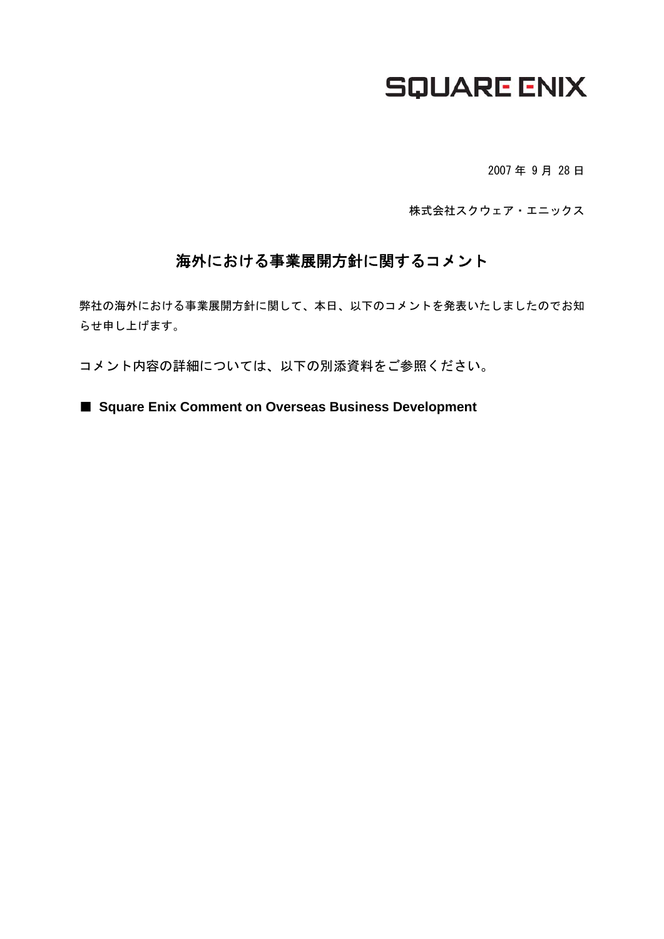## **SQUARE ENIX**

2007 年 9 月 28 日

株式会社スクウェア・エニックス

### 海外における事業展開方針に関するコメント

弊社の海外における事業展開方針に関して、本日、以下のコメントを発表いたしましたのでお知 らせ申し上げます。

コメント内容の詳細については、以下の別添資料をご参照ください。

■ **Square Enix Comment on Overseas Business Development**